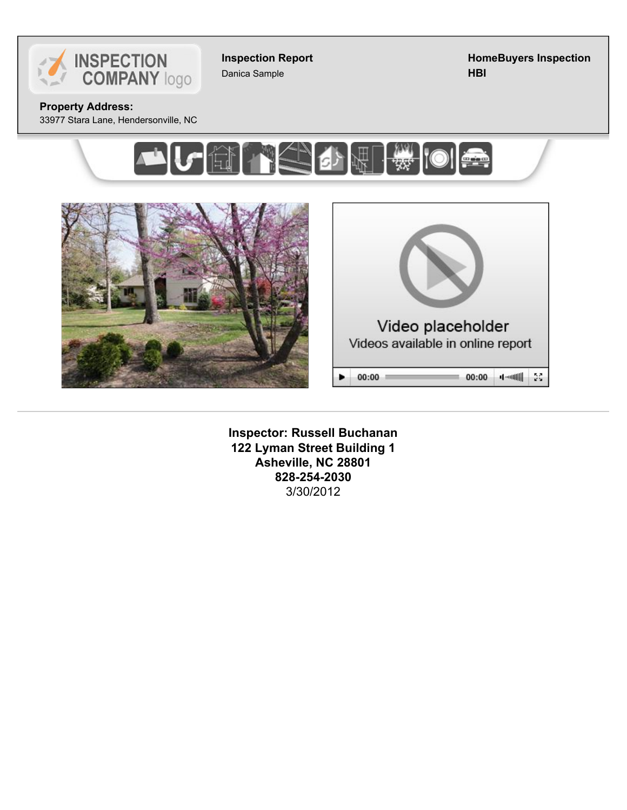

**Inspection Report** Danica Sample

**HomeBuyers Inspection HBI**

**Property Address:**

33977 Stara Lane, Hendersonville, NC







**Inspector: Russell Buchanan 122 Lyman Street Building 1 Asheville, NC 28801 828-254-2030** 3/30/2012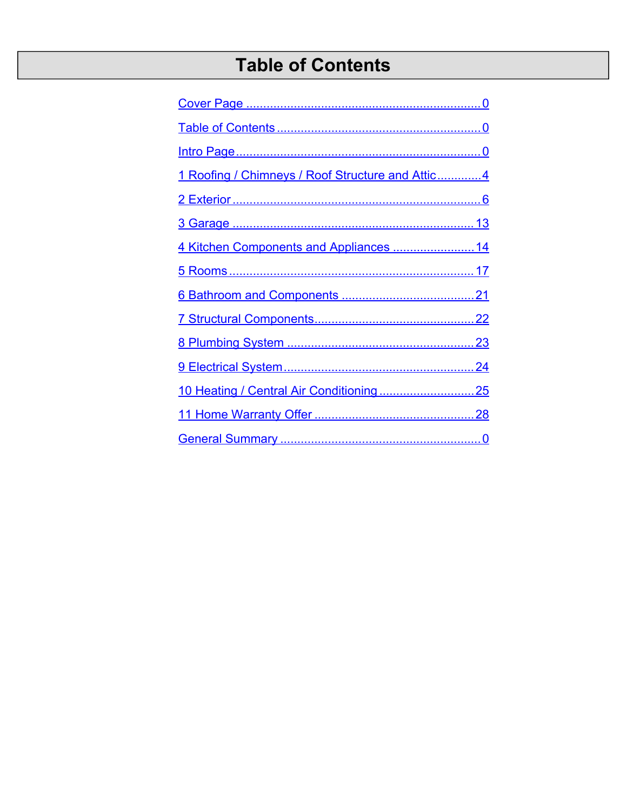# **Table of Contents**

| 1 Roofing / Chimneys / Roof Structure and Attic4 |  |
|--------------------------------------------------|--|
|                                                  |  |
|                                                  |  |
| 4 Kitchen Components and Appliances  14          |  |
|                                                  |  |
|                                                  |  |
|                                                  |  |
|                                                  |  |
|                                                  |  |
|                                                  |  |
|                                                  |  |
|                                                  |  |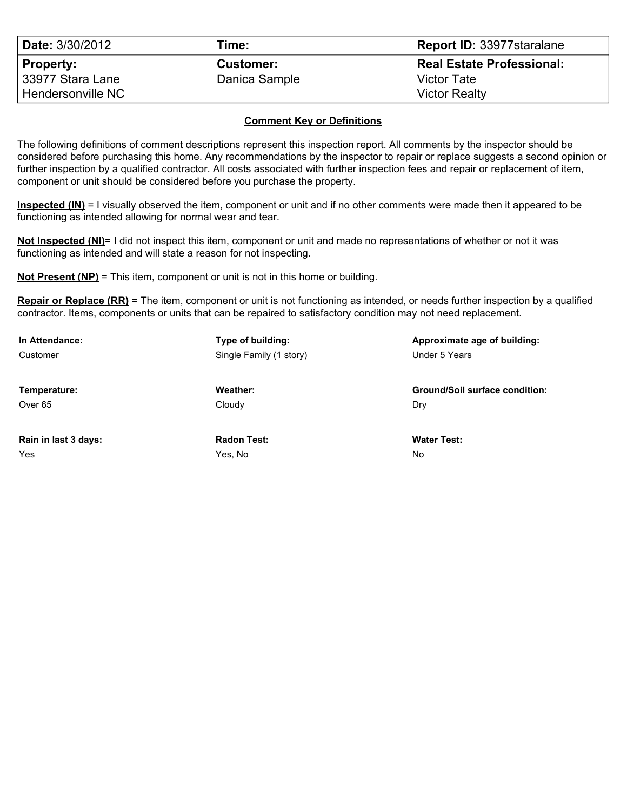| <b>Date: 3/30/2012</b>                                    | Time:                             | <b>Report ID: 33977 staralane</b>                                              |
|-----------------------------------------------------------|-----------------------------------|--------------------------------------------------------------------------------|
| <b>Property:</b><br>33977 Stara Lane<br>Hendersonville NC | <b>Customer:</b><br>Danica Sample | <b>Real Estate Professional:</b><br><b>Victor Tate</b><br><b>Victor Realty</b> |

#### **Comment Key or Definitions**

The following definitions of comment descriptions represent this inspection report. All comments by the inspector should be considered before purchasing this home. Any recommendations by the inspector to repair or replace suggests a second opinion or further inspection by a qualified contractor. All costs associated with further inspection fees and repair or replacement of item, component or unit should be considered before you purchase the property.

**Inspected (IN)** = I visually observed the item, component or unit and if no other comments were made then it appeared to be functioning as intended allowing for normal wear and tear.

**Not Inspected (NI)**= I did not inspect this item, component or unit and made no representations of whether or not it was functioning as intended and will state a reason for not inspecting.

**Not Present (NP)** = This item, component or unit is not in this home or building.

**Repair or Replace (RR)** = The item, component or unit is not functioning as intended, or needs further inspection by a qualified contractor. Items, components or units that can be repaired to satisfactory condition may not need replacement.

| In Attendance:       | Type of building:       | Approximate age of building:          |
|----------------------|-------------------------|---------------------------------------|
| Customer             | Single Family (1 story) | Under 5 Years                         |
|                      |                         |                                       |
| Temperature:         | Weather:                | <b>Ground/Soil surface condition:</b> |
| Over 65              | Cloudy                  | Dry                                   |
|                      |                         |                                       |
| Rain in last 3 days: | <b>Radon Test:</b>      | <b>Water Test:</b>                    |
| Yes                  | Yes. No                 | <b>No</b>                             |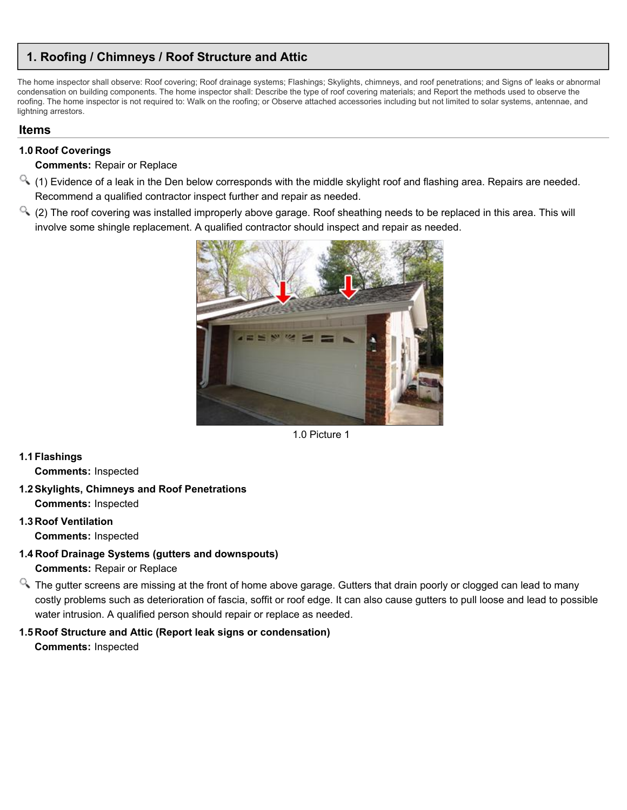# <span id="page-3-0"></span>**1. Roofing / Chimneys / Roof Structure and Attic**

The home inspector shall observe: Roof covering; Roof drainage systems; Flashings; Skylights, chimneys, and roof penetrations; and Signs of' leaks or abnormal condensation on building components. The home inspector shall: Describe the type of roof covering materials; and Report the methods used to observe the roofing. The home inspector is not required to: Walk on the roofing; or Observe attached accessories including but not limited to solar systems, antennae, and lightning arrestors.

## **Items**

## **1.0 Roof Coverings**

#### **Comments:** Repair or Replace

- $\le$  (1) Evidence of a leak in the Den below corresponds with the middle skylight roof and flashing area. Repairs are needed. Recommend a qualified contractor inspect further and repair as needed.
- $\alpha$  (2) The roof covering was installed improperly above garage. Roof sheathing needs to be replaced in this area. This will involve some shingle replacement. A qualified contractor should inspect and repair as needed.



1.0 Picture 1

## **1.1Flashings**

**Comments:** Inspected

#### **1.2Skylights, Chimneys and Roof Penetrations Comments:** Inspected

# **1.3 Roof Ventilation Comments:** Inspected

- **1.4 Roof Drainage Systems (gutters and downspouts) Comments:** Repair or Replace
- <sup>Q</sup>. The gutter screens are missing at the front of home above garage. Gutters that drain poorly or clogged can lead to many costly problems such as deterioration of fascia, soffit or roof edge. It can also cause gutters to pull loose and lead to possible water intrusion. A qualified person should repair or replace as needed.

# **1.5 Roof Structure and Attic (Report leak signs or condensation)**

**Comments:** Inspected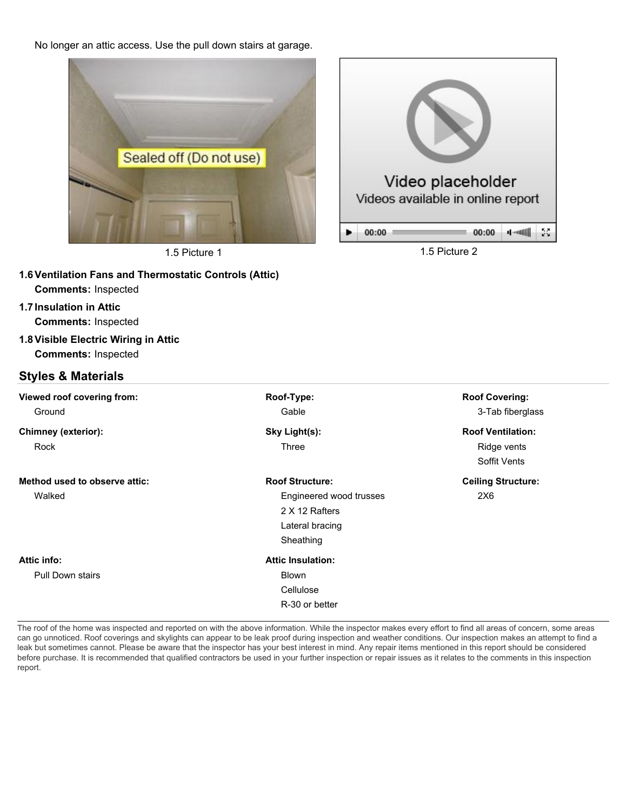No longer an attic access. Use the pull down stairs at garage.



1.5 Picture 1 2



| <b>Comments: Inspected</b>    |                          |                           |
|-------------------------------|--------------------------|---------------------------|
| <b>Styles &amp; Materials</b> |                          |                           |
| Viewed roof covering from:    | Roof-Type:               | <b>Roof Covering:</b>     |
| Ground                        | Gable                    | 3-Tab fiberglass          |
| <b>Chimney (exterior):</b>    | Sky Light(s):            | <b>Roof Ventilation:</b>  |
| Rock                          | Three                    | Ridge vents               |
|                               |                          | Soffit Vents              |
| Method used to observe attic: | <b>Roof Structure:</b>   | <b>Ceiling Structure:</b> |
| Walked                        | Engineered wood trusses  | 2X <sub>6</sub>           |
|                               | 2 X 12 Rafters           |                           |
|                               | Lateral bracing          |                           |
|                               | Sheathing                |                           |
| Attic info:                   | <b>Attic Insulation:</b> |                           |
| <b>Pull Down stairs</b>       | <b>Blown</b>             |                           |
|                               | Cellulose                |                           |
|                               | R-30 or better           |                           |
|                               |                          |                           |

The roof of the home was inspected and reported on with the above information. While the inspector makes every effort to find all areas of concern, some areas can go unnoticed. Roof coverings and skylights can appear to be leak proof during inspection and weather conditions. Our inspection makes an attempt to find a leak but sometimes cannot. Please be aware that the inspector has your best interest in mind. Any repair items mentioned in this report should be considered before purchase. It is recommended that qualified contractors be used in your further inspection or repair issues as it relates to the comments in this inspection report.

**1.6Ventilation Fans and Thermostatic Controls (Attic) Comments:** Inspected **1.7Insulation in Attic**

**Comments:** Inspected

**1.8Visible Electric Wiring in Attic**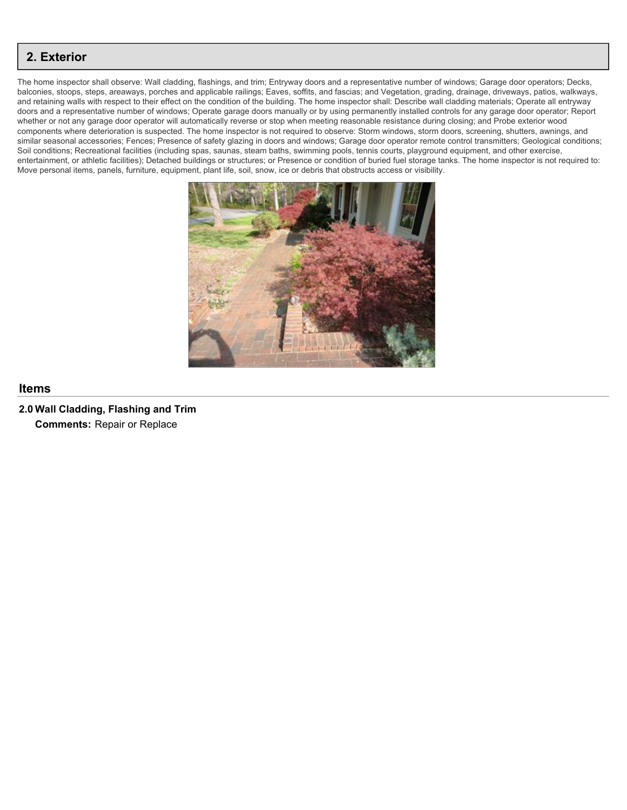<span id="page-5-0"></span>The home inspector shall observe: Wall cladding, flashings, and trim; Entryway doors and a representative number of windows; Garage door operators; Decks, balconies, stoops, steps, areaways, porches and applicable railings; Eaves, soffits, and fascias; and Vegetation, grading, drainage, driveways, patios, walkways, and retaining walls with respect to their effect on the condition of the building. The home inspector shall: Describe wall cladding materials; Operate all entryway doors and a representative number of windows; Operate garage doors manually or by using permanently installed controls for any garage door operator; Report whether or not any garage door operator will automatically reverse or stop when meeting reasonable resistance during closing; and Probe exterior wood components where deterioration is suspected. The home inspector is not required to observe: Storm windows, storm doors, screening, shutters, awnings, and similar seasonal accessories; Fences; Presence of safety glazing in doors and windows; Garage door operator remote control transmitters; Geological conditions; Soil conditions; Recreational facilities (including spas, saunas, steam baths, swimming pools, tennis courts, playground equipment, and other exercise, entertainment, or athletic facilities); Detached buildings or structures; or Presence or condition of buried fuel storage tanks. The home inspector is not required to: Move personal items, panels, furniture, equipment, plant life, soil, snow, ice or debris that obstructs access or visibility.



#### **Items**

**2.0 Wall Cladding, Flashing and Trim Comments:** Repair or Replace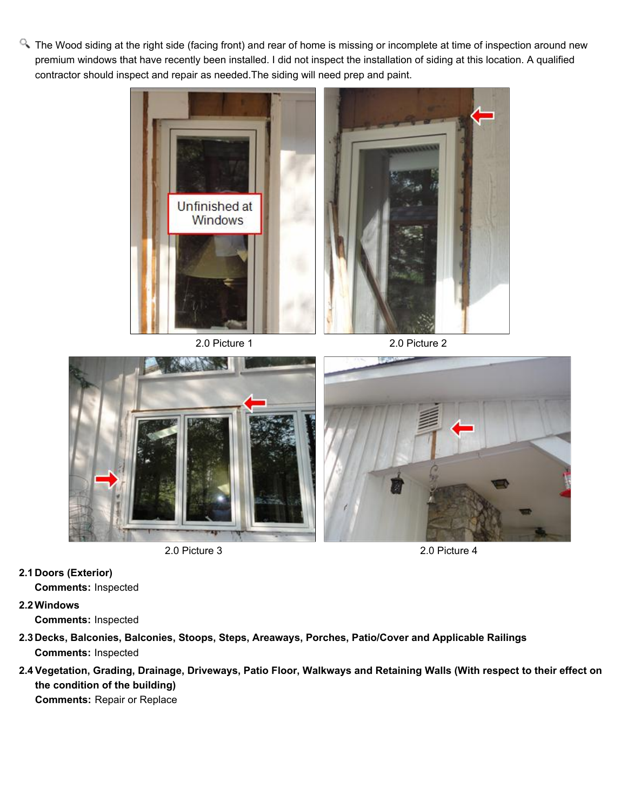<sup>Q</sup>. The Wood siding at the right side (facing front) and rear of home is missing or incomplete at time of inspection around new premium windows that have recently been installed. I did not inspect the installation of siding at this location. A qualified contractor should inspect and repair as needed.The siding will need prep and paint.







2.0 Picture 3 2.0 Picture 4

**2.1 Doors (Exterior)**

**Comments:** Inspected

**2.2Windows Comments:** Inspected

- **2.3 Decks, Balconies, Balconies, Stoops, Steps, Areaways, Porches, Patio/Cover and Applicable Railings Comments:** Inspected
- **2.4 Vegetation, Grading, Drainage, Driveways, Patio Floor, Walkways and Retaining Walls (With respect to their effect on the condition of the building)**

**Comments:** Repair or Replace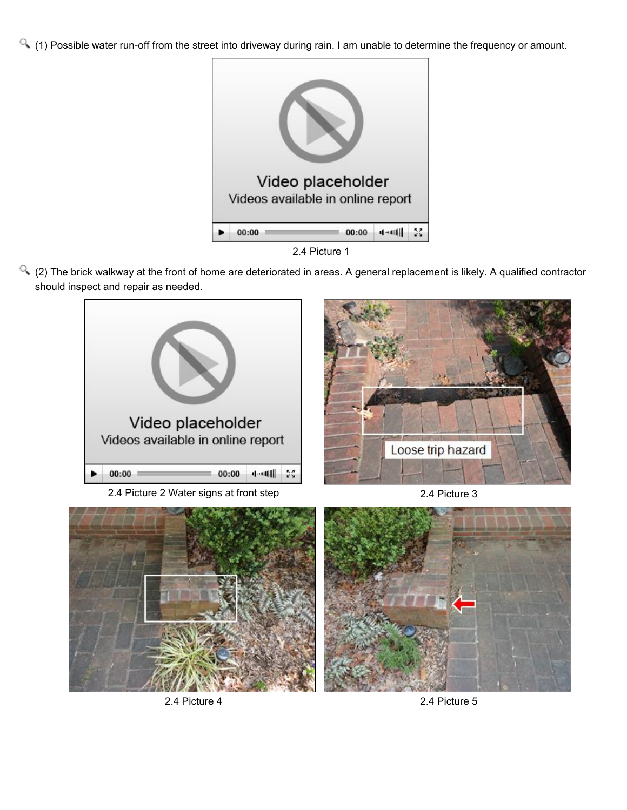$\sim$  (1) Possible water run-off from the street into driveway during rain. I am unable to determine the frequency or amount.



2.4 Picture 1

(2) The brick walkway at the front of home are deteriorated in areas. A general replacement is likely. A qualified contractor should inspect and repair as needed.



2.4 Picture 2 Water signs at front step 2.4 Picture 3







2.4 Picture 4 2.4 Picture 5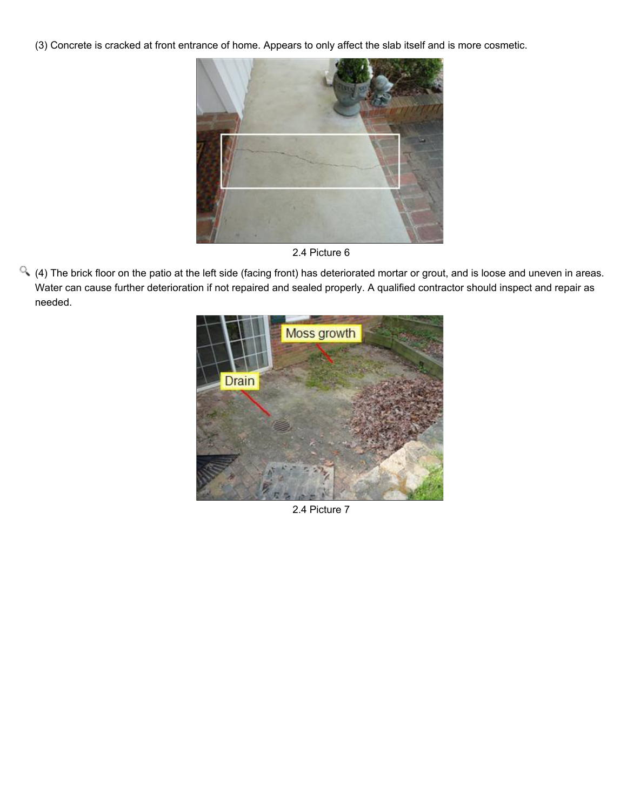(3) Concrete is cracked at front entrance of home. Appears to only affect the slab itself and is more cosmetic.



2.4 Picture 6

(4) The brick floor on the patio at the left side (facing front) has deteriorated mortar or grout, and is loose and uneven in areas. Water can cause further deterioration if not repaired and sealed properly. A qualified contractor should inspect and repair as needed.



2.4 Picture 7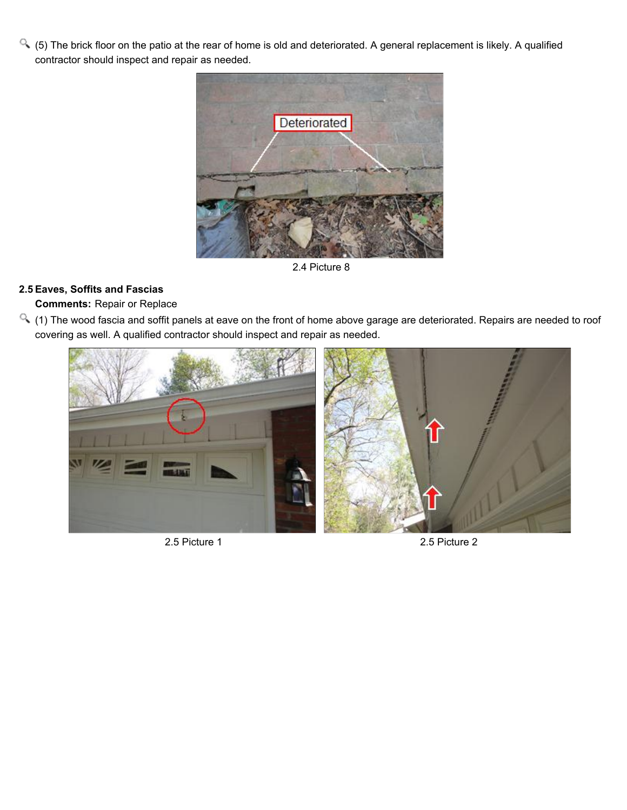$\alpha$  (5) The brick floor on the patio at the rear of home is old and deteriorated. A general replacement is likely. A qualified contractor should inspect and repair as needed.



2.4 Picture 8

# **2.5 Eaves, Soffits and Fascias**

# **Comments:** Repair or Replace

(1) The wood fascia and soffit panels at eave on the front of home above garage are deteriorated. Repairs are needed to roof covering as well. A qualified contractor should inspect and repair as needed.



2.5 Picture 1 2.5 Picture 2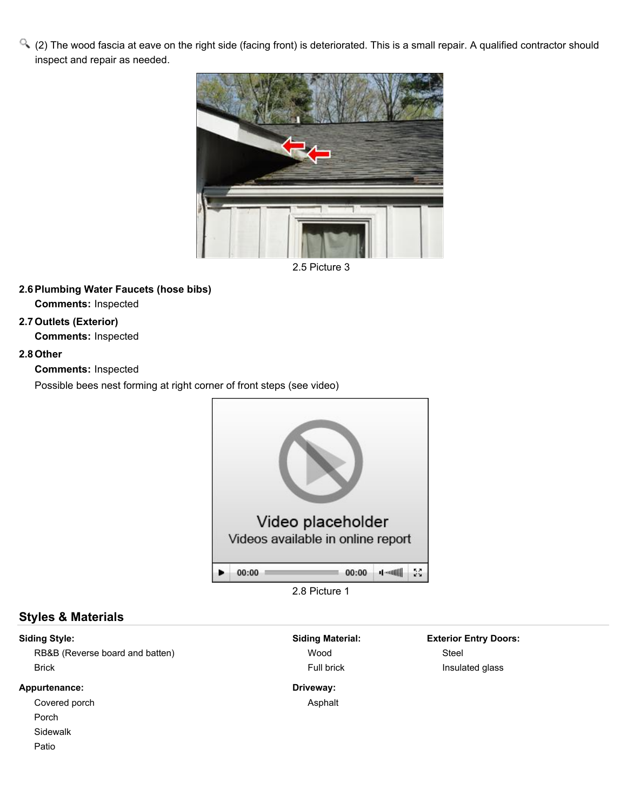(2) The wood fascia at eave on the right side (facing front) is deteriorated. This is a small repair. A qualified contractor should inspect and repair as needed.



2.5 Picture 3

## **2.6Plumbing Water Faucets (hose bibs)**

**Comments:** Inspected

## **2.7Outlets (Exterior)**

**Comments:** Inspected

#### **2.8Other**

**Comments:** Inspected

Possible bees nest forming at right corner of front steps (see video)



2.8 Picture 1

# **Styles & Materials**

## **Siding Style:**

RB&B (Reverse board and batten) Brick

#### **Appurtenance:**

Covered porch

Porch

Sidewalk

Patio

**Siding Material:** Wood Full brick

**Driveway:** Asphalt **Exterior Entry Doors:** Steel Insulated glass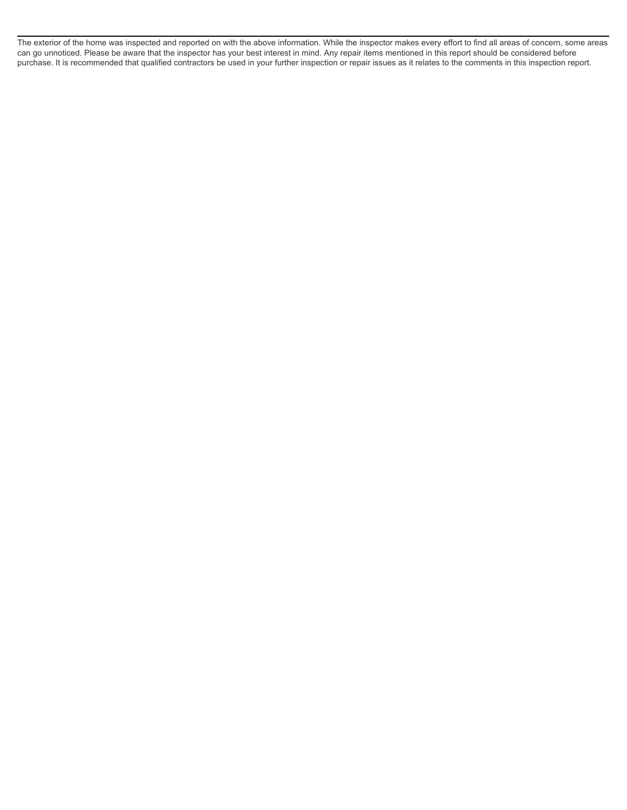The exterior of the home was inspected and reported on with the above information. While the inspector makes every effort to find all areas of concern, some areas can go unnoticed. Please be aware that the inspector has your best interest in mind. Any repair items mentioned in this report should be considered before purchase. It is recommended that qualified contractors be used in your further inspection or repair issues as it relates to the comments in this inspection report.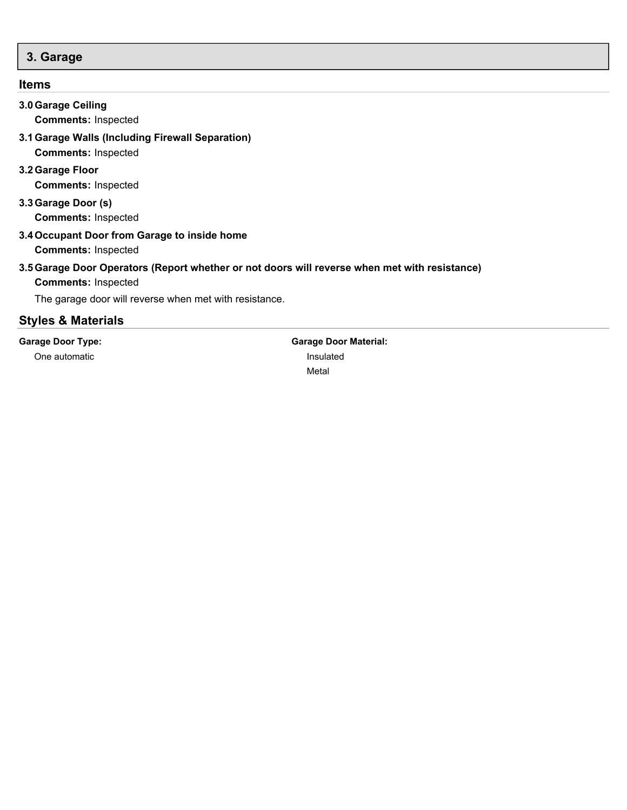# <span id="page-12-0"></span>**3. Garage**

# **Items**

| <b>Garage Door Type:</b>                                                   | <b>Garage Door Material:</b>                                                                  |
|----------------------------------------------------------------------------|-----------------------------------------------------------------------------------------------|
| <b>Styles &amp; Materials</b>                                              |                                                                                               |
| The garage door will reverse when met with resistance.                     |                                                                                               |
| <b>Comments: Inspected</b>                                                 |                                                                                               |
|                                                                            | 3.5 Garage Door Operators (Report whether or not doors will reverse when met with resistance) |
| 3.4 Occupant Door from Garage to inside home<br><b>Comments: Inspected</b> |                                                                                               |
| <b>Comments: Inspected</b>                                                 |                                                                                               |
| 3.3 Garage Door (s)                                                        |                                                                                               |
| <b>Comments: Inspected</b>                                                 |                                                                                               |
| 3.2 Garage Floor                                                           |                                                                                               |
| <b>Comments: Inspected</b>                                                 |                                                                                               |
| 3.1 Garage Walls (Including Firewall Separation)                           |                                                                                               |
| <b>Comments: Inspected</b>                                                 |                                                                                               |
| 3.0 Garage Ceiling                                                         |                                                                                               |

One automatic

**Garage Door Material:** Insulated Metal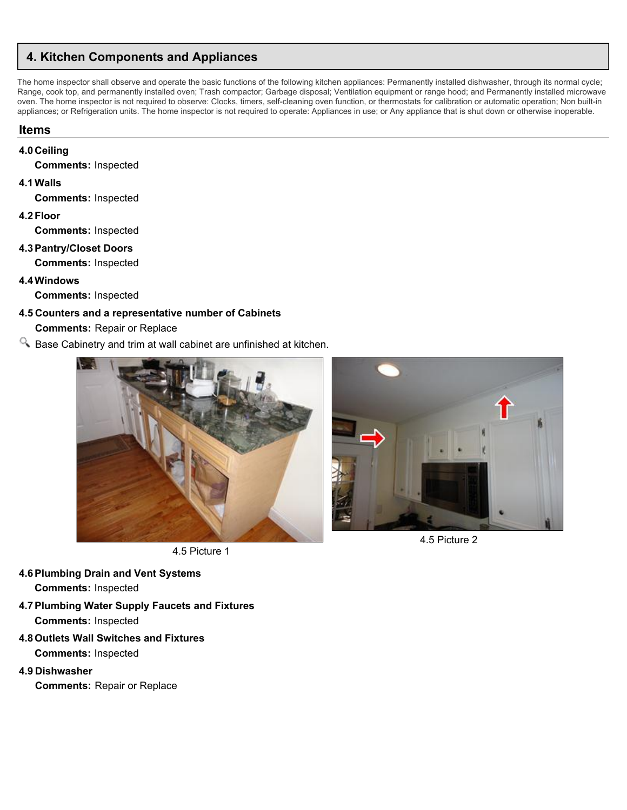# <span id="page-13-0"></span>**4. Kitchen Components and Appliances**

The home inspector shall observe and operate the basic functions of the following kitchen appliances: Permanently installed dishwasher, through its normal cycle; Range, cook top, and permanently installed oven; Trash compactor; Garbage disposal; Ventilation equipment or range hood; and Permanently installed microwave oven. The home inspector is not required to observe: Clocks, timers, self-cleaning oven function, or thermostats for calibration or automatic operation; Non built-in appliances; or Refrigeration units. The home inspector is not required to operate: Appliances in use; or Any appliance that is shut down or otherwise inoperable.

## **Items**

#### **4.0 Ceiling**

**Comments:** Inspected

#### **4.1Walls**

**Comments:** Inspected

**4.2Floor**

**Comments:** Inspected

## **4.3Pantry/Closet Doors**

**Comments:** Inspected

#### **4.4Windows**

**Comments:** Inspected

# **4.5 Counters and a representative number of Cabinets**

**Comments:** Repair or Replace

 $\Omega$ . Base Cabinetry and trim at wall cabinet are unfinished at kitchen.



4.5 Picture 1

#### **4.6Plumbing Drain and Vent Systems Comments:** Inspected

- **4.7Plumbing Water Supply Faucets and Fixtures Comments:** Inspected
- **4.8Outlets Wall Switches and Fixtures Comments:** Inspected
- **4.9 Dishwasher**

**Comments:** Repair or Replace



4.5 Picture 2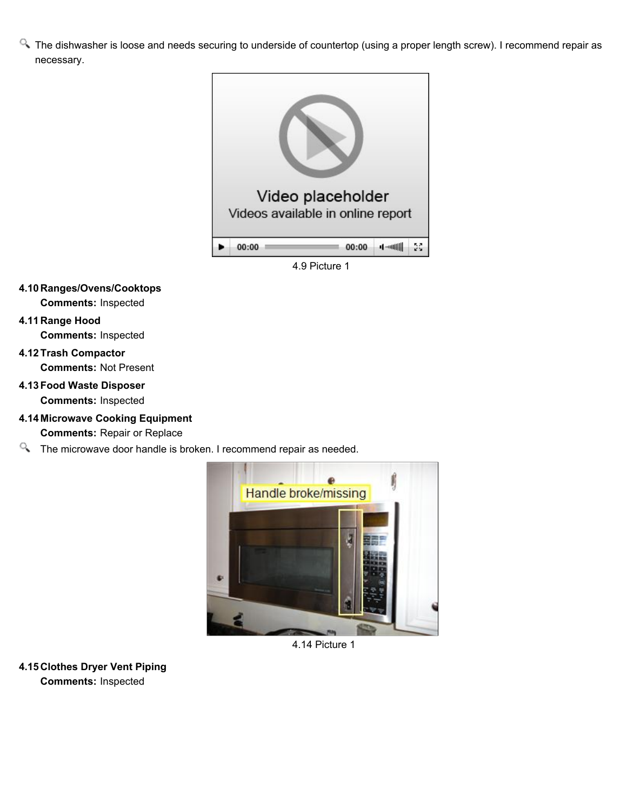<sup>Q</sup>. The dishwasher is loose and needs securing to underside of countertop (using a proper length screw). I recommend repair as necessary.



## **4.10 Ranges/Ovens/Cooktops Comments:** Inspected

# **4.11 Range Hood**

**Comments:** Inspected

## **4.12Trash Compactor Comments:** Not Present

# **4.13Food Waste Disposer**

**Comments:** Inspected

- **4.14 Microwave Cooking Equipment Comments:** Repair or Replace
- The microwave door handle is broken. I recommend repair as needed.



4.14 Picture 1

**4.15 Clothes Dryer Vent Piping Comments:** Inspected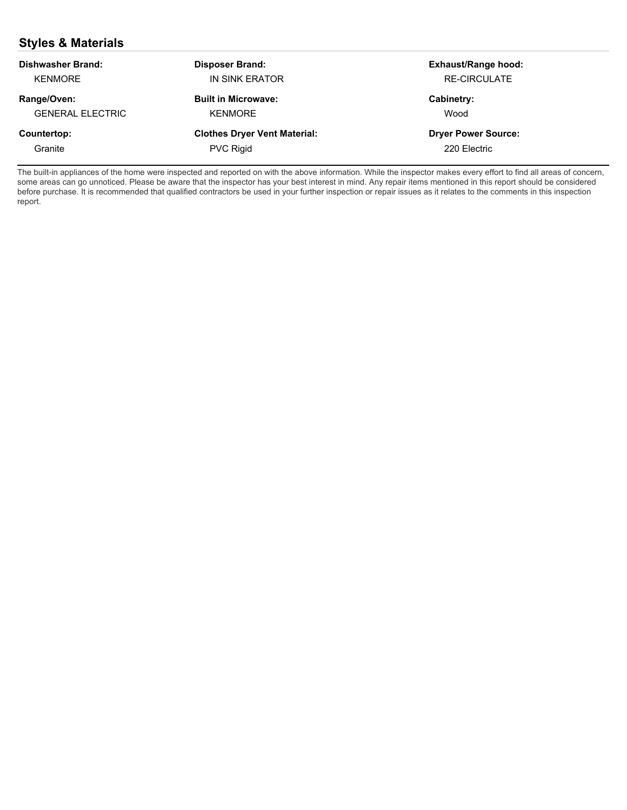# **Styles & Materials**

| Dishwasher Brand:       | <b>Disposer Brand:</b>              | <b>Exhaust/Range hood:</b> |
|-------------------------|-------------------------------------|----------------------------|
| <b>KENMORE</b>          | IN SINK ERATOR                      | <b>RE-CIRCULATE</b>        |
| Range/Oven:             | <b>Built in Microwave:</b>          | Cabinetry:                 |
| <b>GENERAL ELECTRIC</b> | <b>KENMORE</b>                      | Wood                       |
| Countertop:             | <b>Clothes Dryer Vent Material:</b> | <b>Dryer Power Source:</b> |
| Granite                 | <b>PVC Rigid</b>                    | 220 Electric               |

The built-in appliances of the home were inspected and reported on with the above information. While the inspector makes every effort to find all areas of concern, some areas can go unnoticed. Please be aware that the inspector has your best interest in mind. Any repair items mentioned in this report should be considered before purchase. It is recommended that qualified contractors be used in your further inspection or repair issues as it relates to the comments in this inspection report.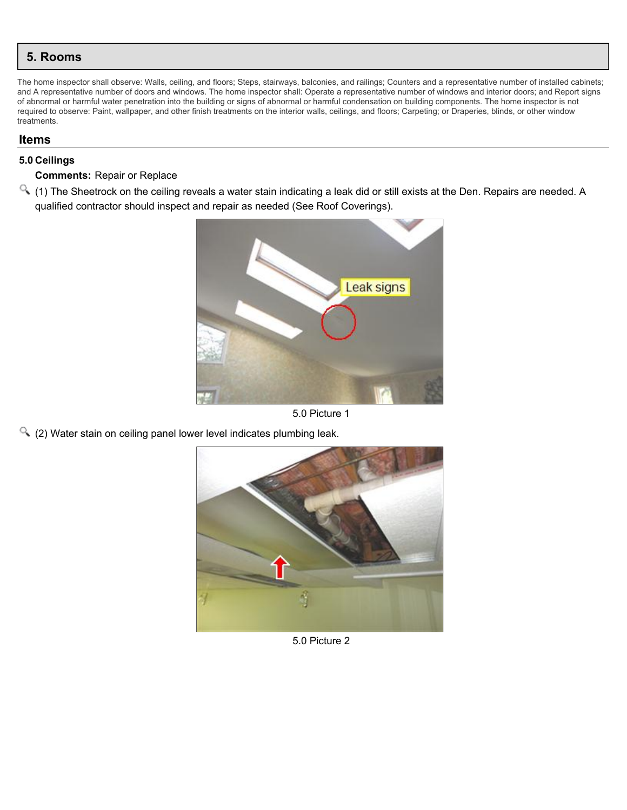<span id="page-16-0"></span>The home inspector shall observe: Walls, ceiling, and floors; Steps, stairways, balconies, and railings; Counters and a representative number of installed cabinets; and A representative number of doors and windows. The home inspector shall: Operate a representative number of windows and interior doors; and Report signs of abnormal or harmful water penetration into the building or signs of abnormal or harmful condensation on building components. The home inspector is not required to observe: Paint, wallpaper, and other finish treatments on the interior walls, ceilings, and floors; Carpeting; or Draperies, blinds, or other window treatments.

#### **Items**

#### **5.0 Ceilings**

#### **Comments:** Repair or Replace

(1) The Sheetrock on the ceiling reveals a water stain indicating a leak did or still exists at the Den. Repairs are needed. A qualified contractor should inspect and repair as needed (See Roof Coverings).



5.0 Picture 1

(2) Water stain on ceiling panel lower level indicates plumbing leak.



5.0 Picture 2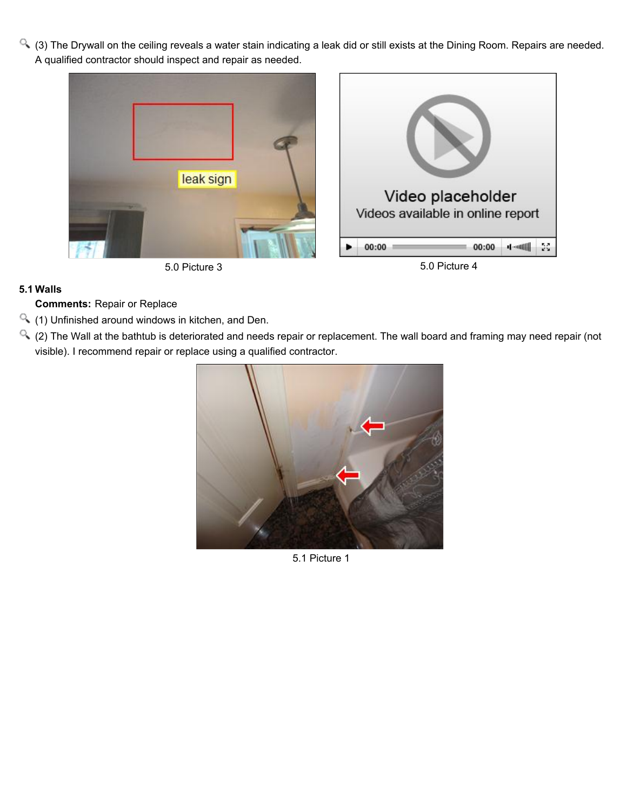(3) The Drywall on the ceiling reveals a water stain indicating a leak did or still exists at the Dining Room. Repairs are needed. A qualified contractor should inspect and repair as needed.







## **5.1 Walls**

**Comments:** Repair or Replace

- (1) Unfinished around windows in kitchen, and Den.
- (2) The Wall at the bathtub is deteriorated and needs repair or replacement. The wall board and framing may need repair (not visible). I recommend repair or replace using a qualified contractor.



5.1 Picture 1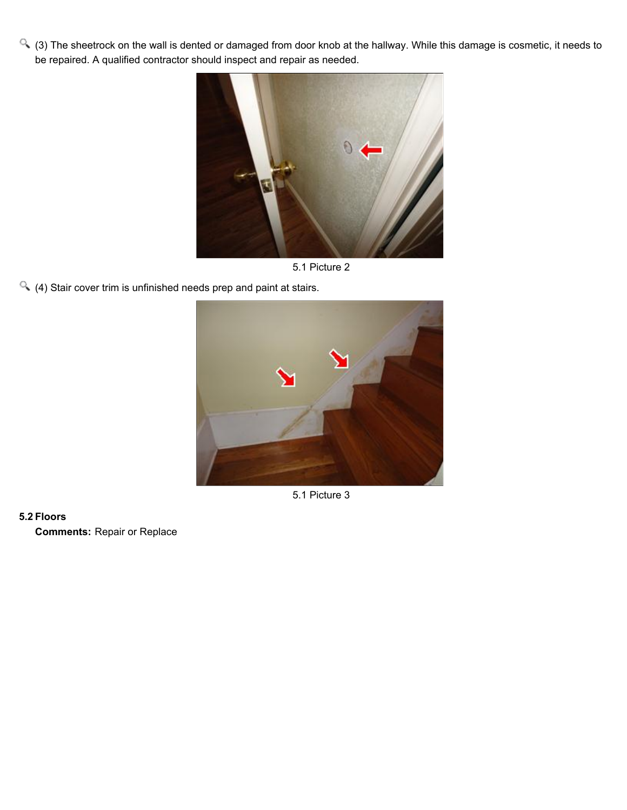(3) The sheetrock on the wall is dented or damaged from door knob at the hallway. While this damage is cosmetic, it needs to be repaired. A qualified contractor should inspect and repair as needed.



5.1 Picture 2

(4) Stair cover trim is unfinished needs prep and paint at stairs.



5.1 Picture 3

#### **5.2 Floors**

**Comments:** Repair or Replace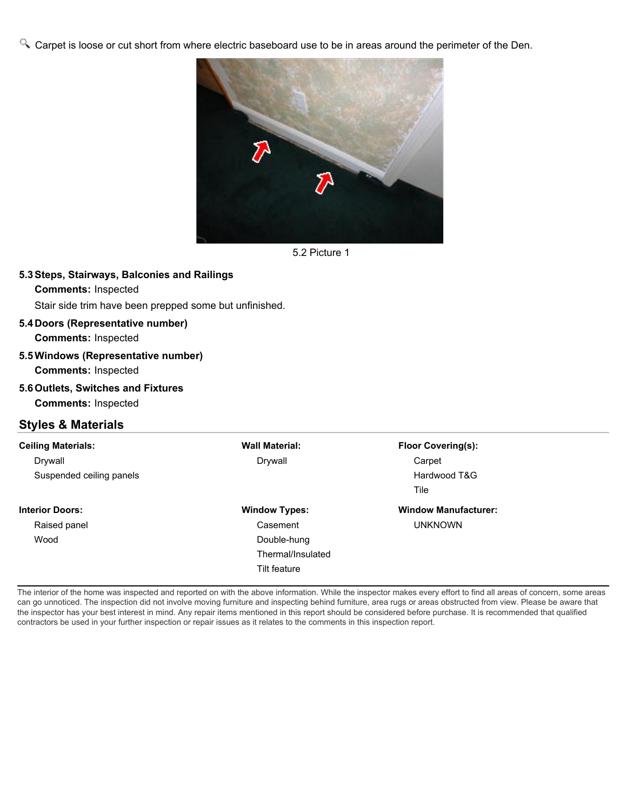Carpet is loose or cut short from where electric baseboard use to be in areas around the perimeter of the Den.



5.2 Picture 1

#### **5.3Steps, Stairways, Balconies and Railings**

#### **Comments:** Inspected

Stair side trim have been prepped some but unfinished.

## **5.4 Doors (Representative number)**

**Comments:** Inspected

#### **5.5Windows (Representative number)**

**Comments:** Inspected

**5.6Outlets, Switches and Fixtures Comments:** Inspected

# **Styles & Materials**

| <b>Ceiling Materials:</b> | <b>Wall Material:</b> | <b>Floor Covering(s):</b>   |
|---------------------------|-----------------------|-----------------------------|
| Drywall                   | Drywall               | Carpet                      |
| Suspended ceiling panels  |                       | Hardwood T&G                |
|                           |                       | Tile                        |
| <b>Interior Doors:</b>    | <b>Window Types:</b>  | <b>Window Manufacturer:</b> |
| Raised panel              | Casement              | <b>UNKNOWN</b>              |
| Wood                      | Double-hung           |                             |
|                           | Thermal/Insulated     |                             |
|                           | <b>Tilt feature</b>   |                             |

The interior of the home was inspected and reported on with the above information. While the inspector makes every effort to find all areas of concern, some areas can go unnoticed. The inspection did not involve moving furniture and inspecting behind furniture, area rugs or areas obstructed from view. Please be aware that the inspector has your best interest in mind. Any repair items mentioned in this report should be considered before purchase. It is recommended that qualified contractors be used in your further inspection or repair issues as it relates to the comments in this inspection report.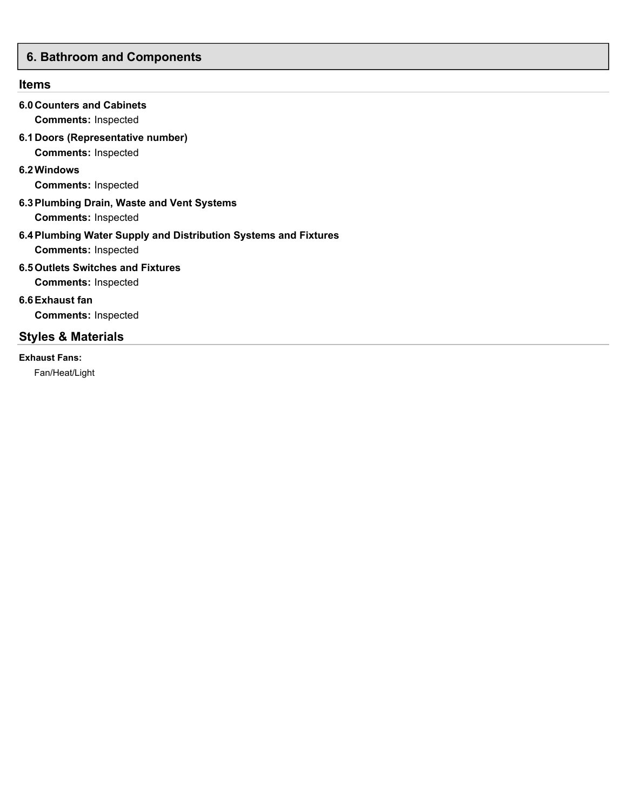# <span id="page-20-0"></span>**6. Bathroom and Components**

# **Items**

| <b>6.0 Counters and Cabinets</b><br><b>Comments: Inspected</b>                                |
|-----------------------------------------------------------------------------------------------|
| 6.1 Doors (Representative number)<br><b>Comments: Inspected</b>                               |
| 6.2 Windows<br><b>Comments: Inspected</b>                                                     |
| 6.3 Plumbing Drain, Waste and Vent Systems<br><b>Comments: Inspected</b>                      |
| 6.4 Plumbing Water Supply and Distribution Systems and Fixtures<br><b>Comments: Inspected</b> |
| 6.5 Outlets Switches and Fixtures<br><b>Comments: Inspected</b>                               |
| 6.6 Exhaust fan<br><b>Comments: Inspected</b>                                                 |
| <b>Styles &amp; Materials</b>                                                                 |
| <b>Exhaust Fans:</b>                                                                          |

Fan/Heat/Light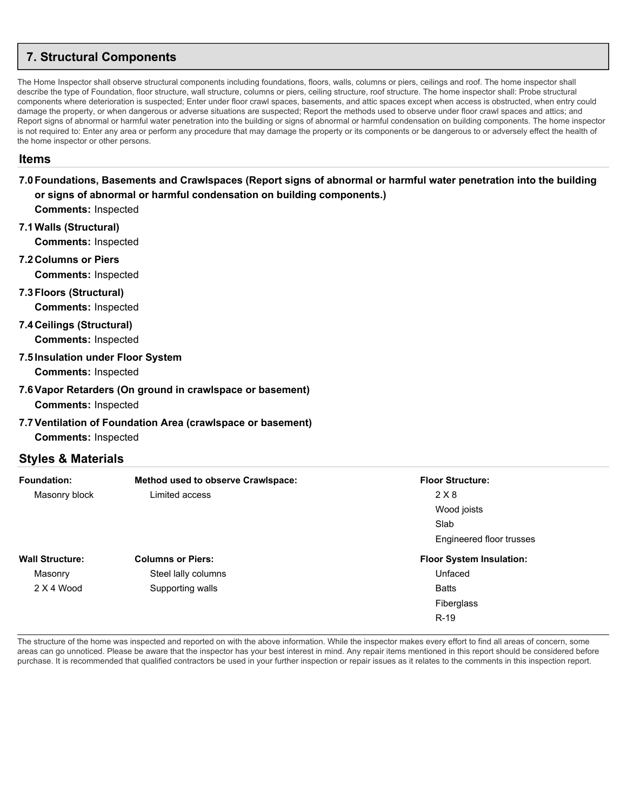# <span id="page-21-0"></span>**7. Structural Components**

The Home Inspector shall observe structural components including foundations, floors, walls, columns or piers, ceilings and roof. The home inspector shall describe the type of Foundation, floor structure, wall structure, columns or piers, ceiling structure, roof structure. The home inspector shall: Probe structural components where deterioration is suspected; Enter under floor crawl spaces, basements, and attic spaces except when access is obstructed, when entry could damage the property, or when dangerous or adverse situations are suspected; Report the methods used to observe under floor crawl spaces and attics; and Report signs of abnormal or harmful water penetration into the building or signs of abnormal or harmful condensation on building components. The home inspector is not required to: Enter any area or perform any procedure that may damage the property or its components or be dangerous to or adversely effect the health of the home inspector or other persons.

#### **Items**

## **7.0Foundations, Basements and Crawlspaces (Report signs of abnormal or harmful water penetration into the building or signs of abnormal or harmful condensation on building components.)**

**Comments:** Inspected

**7.1Walls (Structural)**

**Comments:** Inspected

**7.2 Columns or Piers**

**Comments:** Inspected

- **7.3Floors (Structural) Comments:** Inspected
- **7.4 Ceilings (Structural)**

**Comments:** Inspected

**7.5Insulation under Floor System**

**Comments:** Inspected

# **7.6Vapor Retarders (On ground in crawlspace or basement)**

**Comments:** Inspected

## **7.7Ventilation of Foundation Area (crawlspace or basement)**

**Comments:** Inspected

## **Styles & Materials**

| <b>Foundation:</b>     | <b>Method used to observe Crawlspace:</b> | <b>Floor Structure:</b>         |
|------------------------|-------------------------------------------|---------------------------------|
| Masonry block          | Limited access                            | 2 X 8                           |
|                        |                                           | Wood joists                     |
|                        |                                           | Slab                            |
|                        |                                           | Engineered floor trusses        |
| <b>Wall Structure:</b> | <b>Columns or Piers:</b>                  | <b>Floor System Insulation:</b> |
| Masonry                | Steel lally columns                       | Unfaced                         |
| 2 X 4 Wood             | Supporting walls                          | <b>Batts</b>                    |
|                        |                                           | Fiberglass                      |
|                        |                                           | $R-19$                          |

The structure of the home was inspected and reported on with the above information. While the inspector makes every effort to find all areas of concern, some areas can go unnoticed. Please be aware that the inspector has your best interest in mind. Any repair items mentioned in this report should be considered before purchase. It is recommended that qualified contractors be used in your further inspection or repair issues as it relates to the comments in this inspection report.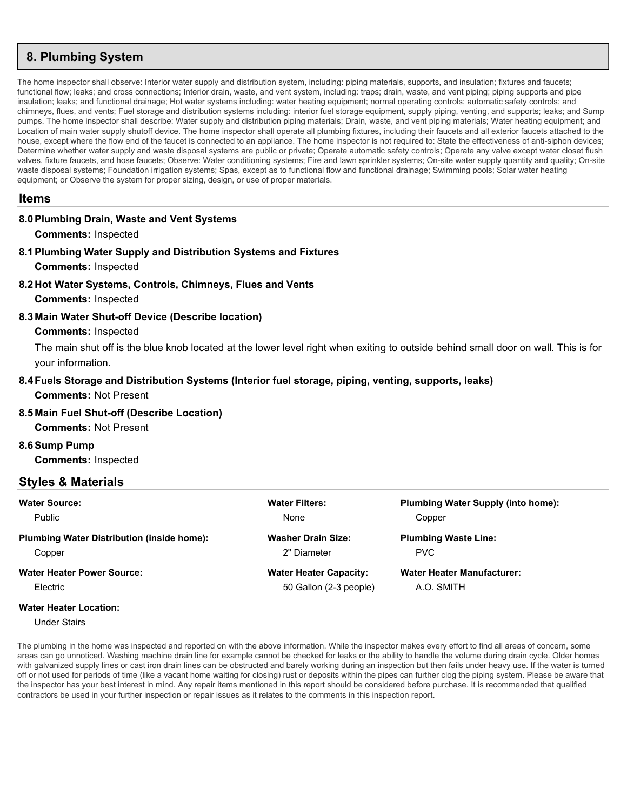# <span id="page-22-0"></span>**8. Plumbing System**

The home inspector shall observe: Interior water supply and distribution system, including: piping materials, supports, and insulation; fixtures and faucets; functional flow; leaks; and cross connections; Interior drain, waste, and vent system, including; traps; drain, waste, and vent piping; piping supports and pipe insulation; leaks; and functional drainage; Hot water systems including: water heating equipment; normal operating controls; automatic safety controls; and chimneys, flues, and vents; Fuel storage and distribution systems including: interior fuel storage equipment, supply piping, venting, and supports; leaks; and Sump pumps. The home inspector shall describe: Water supply and distribution piping materials; Drain, waste, and vent piping materials; Water heating equipment; and Location of main water supply shutoff device. The home inspector shall operate all plumbing fixtures, including their faucets and all exterior faucets attached to the house, except where the flow end of the faucet is connected to an appliance. The home inspector is not required to: State the effectiveness of anti-siphon devices; Determine whether water supply and waste disposal systems are public or private; Operate automatic safety controls; Operate any valve except water closet flush valves, fixture faucets, and hose faucets; Observe: Water conditioning systems; Fire and lawn sprinkler systems; On-site water supply quantity and quality; On-site waste disposal systems; Foundation irrigation systems; Spas, except as to functional flow and functional drainage; Swimming pools; Solar water heating equipment; or Observe the system for proper sizing, design, or use of proper materials.

#### **Items**

#### **8.0Plumbing Drain, Waste and Vent Systems**

**Comments:** Inspected

- **8.1Plumbing Water Supply and Distribution Systems and Fixtures Comments:** Inspected
- **8.2 Hot Water Systems, Controls, Chimneys, Flues and Vents**
	- **Comments:** Inspected

#### **8.3 Main Water Shut-off Device (Describe location)**

#### **Comments:** Inspected

The main shut off is the blue knob located at the lower level right when exiting to outside behind small door on wall. This is for your information.

#### **8.4Fuels Storage and Distribution Systems (Interior fuel storage, piping, venting, supports, leaks)**

**Comments:** Not Present

#### **8.5 Main Fuel Shut-off (Describe Location)**

**Comments:** Not Present

**8.6Sump Pump**

**Comments:** Inspected

#### **Styles & Materials**

| <b>Water Source:</b>                              | <b>Water Filters:</b>         | <b>Plumbing Water Supply (into home):</b> |
|---------------------------------------------------|-------------------------------|-------------------------------------------|
| Public                                            | None                          | Copper                                    |
| <b>Plumbing Water Distribution (inside home):</b> | <b>Washer Drain Size:</b>     | <b>Plumbing Waste Line:</b>               |
| Copper                                            | 2" Diameter                   | <b>PVC</b>                                |
| <b>Water Heater Power Source:</b>                 | <b>Water Heater Capacity:</b> | <b>Water Heater Manufacturer:</b>         |
| Electric                                          | 50 Gallon (2-3 people)        | A.O. SMITH                                |
| <b>Water Heater Location:</b>                     |                               |                                           |
| Under Stairs                                      |                               |                                           |

The plumbing in the home was inspected and reported on with the above information. While the inspector makes every effort to find all areas of concern, some areas can go unnoticed. Washing machine drain line for example cannot be checked for leaks or the ability to handle the volume during drain cycle. Older homes with galvanized supply lines or cast iron drain lines can be obstructed and barely working during an inspection but then fails under heavy use. If the water is turned off or not used for periods of time (like a vacant home waiting for closing) rust or deposits within the pipes can further clog the piping system. Please be aware that the inspector has your best interest in mind. Any repair items mentioned in this report should be considered before purchase. It is recommended that qualified contractors be used in your further inspection or repair issues as it relates to the comments in this inspection report.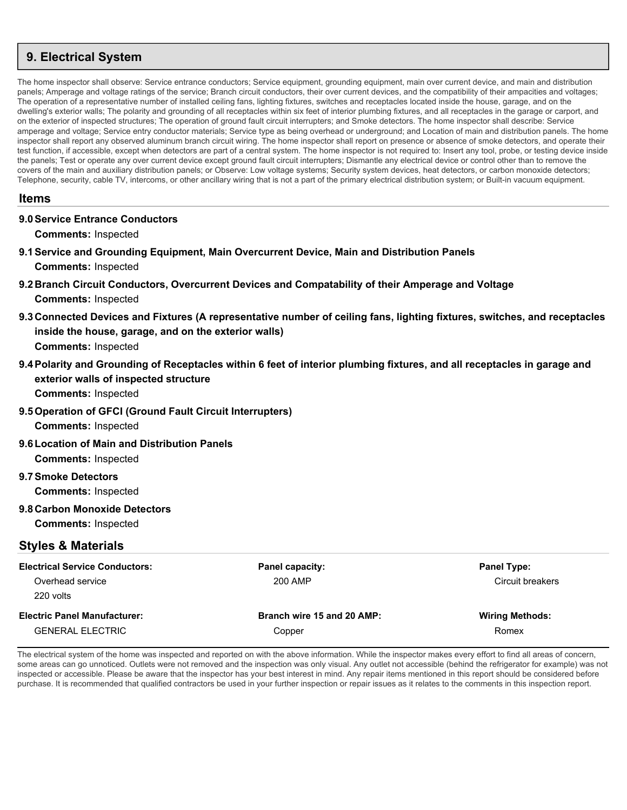# <span id="page-23-0"></span>**9. Electrical System**

The home inspector shall observe: Service entrance conductors; Service equipment, grounding equipment, main over current device, and main and distribution panels; Amperage and voltage ratings of the service; Branch circuit conductors, their over current devices, and the compatibility of their ampacities and voltages; The operation of a representative number of installed ceiling fans, lighting fixtures, switches and receptacles located inside the house, garage, and on the dwelling's exterior walls; The polarity and grounding of all receptacles within six feet of interior plumbing fixtures, and all receptacles in the garage or carport, and on the exterior of inspected structures; The operation of ground fault circuit interrupters; and Smoke detectors. The home inspector shall describe: Service amperage and voltage; Service entry conductor materials; Service type as being overhead or underground; and Location of main and distribution panels. The home inspector shall report any observed aluminum branch circuit wiring. The home inspector shall report on presence or absence of smoke detectors, and operate their test function, if accessible, except when detectors are part of a central system. The home inspector is not required to: Insert any tool, probe, or testing device inside the panels; Test or operate any over current device except ground fault circuit interrupters; Dismantle any electrical device or control other than to remove the covers of the main and auxiliary distribution panels; or Observe: Low voltage systems; Security system devices, heat detectors, or carbon monoxide detectors; Telephone, security, cable TV, intercoms, or other ancillary wiring that is not a part of the primary electrical distribution system; or Built-in vacuum equipment.

## **Items**

#### **9.0Service Entrance Conductors**

**Comments:** Inspected

- **9.1Service and Grounding Equipment, Main Overcurrent Device, Main and Distribution Panels Comments:** Inspected
- **9.2 Branch Circuit Conductors, Overcurrent Devices and Compatability of their Amperage and Voltage Comments:** Inspected
- **9.3 Connected Devices and Fixtures (A representative number of ceiling fans, lighting fixtures, switches, and receptacles inside the house, garage, and on the exterior walls) Comments:** Inspected
- **9.4Polarity and Grounding of Receptacles within 6 feet of interior plumbing fixtures, and all receptacles in garage and exterior walls of inspected structure**

**Comments:** Inspected

**9.5Operation of GFCI (Ground Fault Circuit Interrupters)**

**Comments:** Inspected

**9.6Location of Main and Distribution Panels**

**Comments:** Inspected

**9.7Smoke Detectors**

**Comments:** Inspected

**9.8 Carbon Monoxide Detectors**

**Comments:** Inspected

## **Styles & Materials**

| <b>Electrical Service Conductors:</b> | Panel capacity:            | <b>Panel Type:</b>     |
|---------------------------------------|----------------------------|------------------------|
| Overhead service                      | 200 AMP                    | Circuit breakers       |
| 220 volts                             |                            |                        |
| <b>Electric Panel Manufacturer:</b>   | Branch wire 15 and 20 AMP: | <b>Wiring Methods:</b> |
| <b>GENERAL ELECTRIC</b>               | Copper                     | Romex                  |

The electrical system of the home was inspected and reported on with the above information. While the inspector makes every effort to find all areas of concern, some areas can go unnoticed. Outlets were not removed and the inspection was only visual. Any outlet not accessible (behind the refrigerator for example) was not inspected or accessible. Please be aware that the inspector has your best interest in mind. Any repair items mentioned in this report should be considered before purchase. It is recommended that qualified contractors be used in your further inspection or repair issues as it relates to the comments in this inspection report.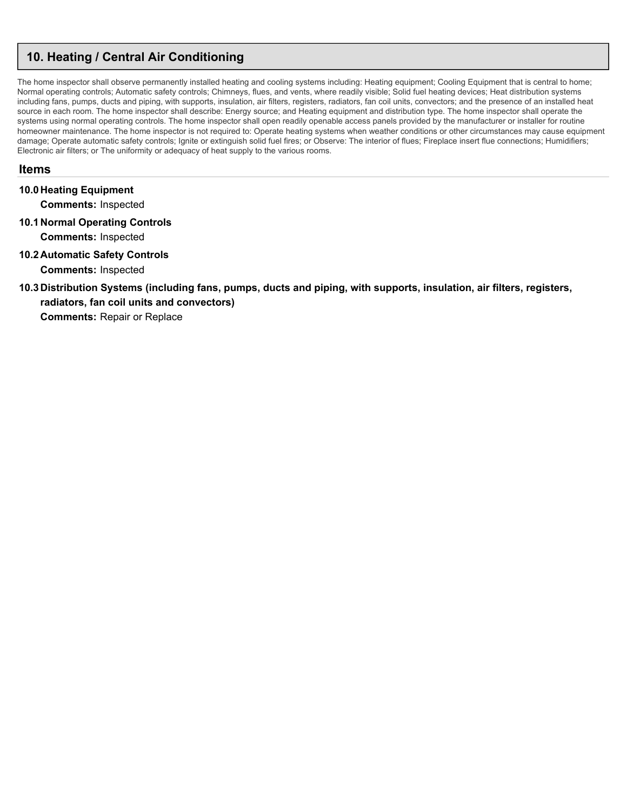# <span id="page-24-0"></span>**10. Heating / Central Air Conditioning**

The home inspector shall observe permanently installed heating and cooling systems including: Heating equipment; Cooling Equipment that is central to home; Normal operating controls; Automatic safety controls; Chimneys, flues, and vents, where readily visible; Solid fuel heating devices; Heat distribution systems including fans, pumps, ducts and piping, with supports, insulation, air filters, registers, radiators, fan coil units, convectors; and the presence of an installed heat source in each room. The home inspector shall describe: Energy source; and Heating equipment and distribution type. The home inspector shall operate the systems using normal operating controls. The home inspector shall open readily openable access panels provided by the manufacturer or installer for routine homeowner maintenance. The home inspector is not required to: Operate heating systems when weather conditions or other circumstances may cause equipment damage; Operate automatic safety controls; Ignite or extinguish solid fuel fires; or Observe: The interior of flues; Fireplace insert flue connections; Humidifiers; Electronic air filters; or The uniformity or adequacy of heat supply to the various rooms.

#### **Items**

**10.0 Heating Equipment**

**Comments:** Inspected

**10.1 Normal Operating Controls**

**Comments:** Inspected

**10.2 Automatic Safety Controls**

**Comments:** Inspected

**10.3 Distribution Systems (including fans, pumps, ducts and piping, with supports, insulation, air filters, registers, radiators, fan coil units and convectors)**

**Comments:** Repair or Replace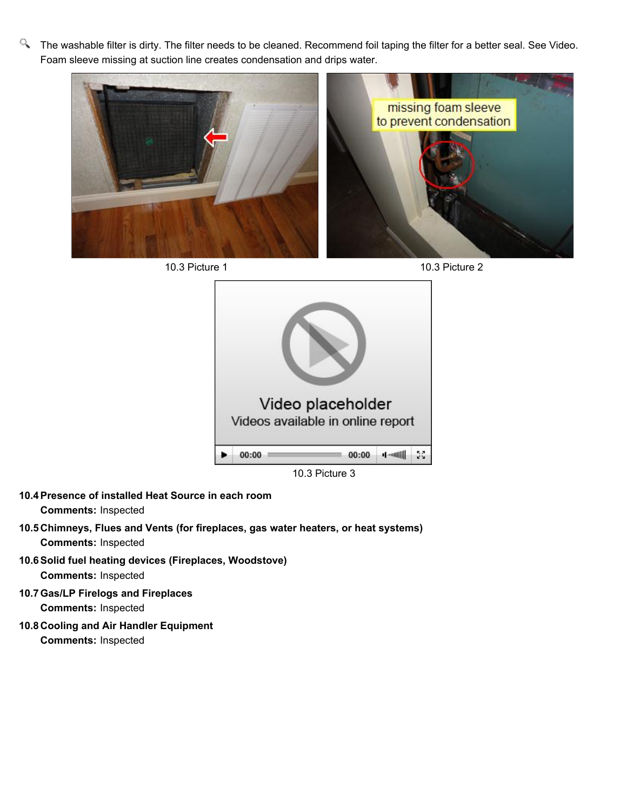Q. The washable filter is dirty. The filter needs to be cleaned. Recommend foil taping the filter for a better seal. See Video. Foam sleeve missing at suction line creates condensation and drips water.









10.3 Picture 3

- **10.4Presence of installed Heat Source in each room Comments:** Inspected
- **10.5 Chimneys, Flues and Vents (for fireplaces, gas water heaters, or heat systems) Comments:** Inspected
- **10.6Solid fuel heating devices (Fireplaces, Woodstove) Comments:** Inspected
- **10.7Gas/LP Firelogs and Fireplaces Comments:** Inspected
- **10.8 Cooling and Air Handler Equipment Comments:** Inspected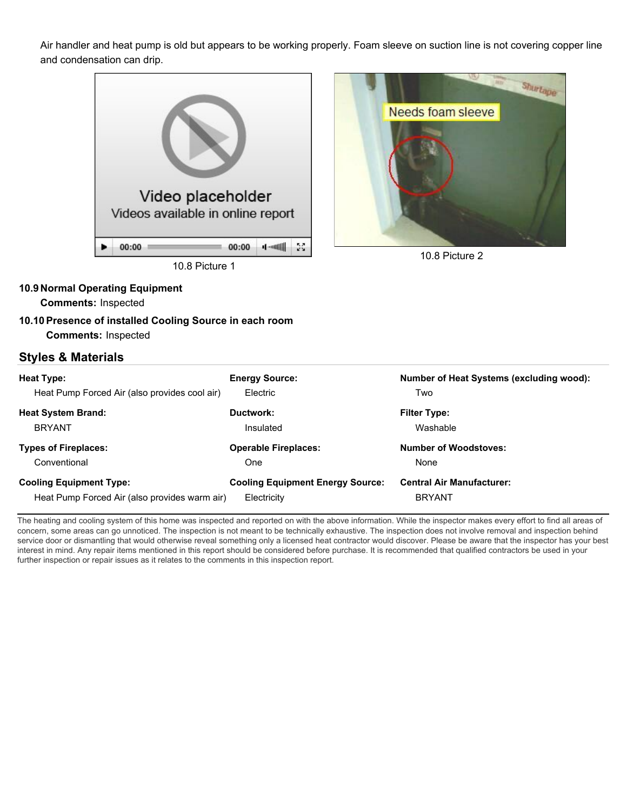Air handler and heat pump is old but appears to be working properly. Foam sleeve on suction line is not covering copper line and condensation can drip.





10.8 Picture 2

#### **10.9 Normal Operating Equipment**

**Comments:** Inspected

**10.10Presence of installed Cooling Source in each room Comments:** Inspected

# **Styles & Materials**

| <b>Heat Type:</b><br>Heat Pump Forced Air (also provides cool air) | <b>Energy Source:</b><br>Electric       | <b>Number of Heat Systems (excluding wood):</b><br>Two |
|--------------------------------------------------------------------|-----------------------------------------|--------------------------------------------------------|
| <b>Heat System Brand:</b>                                          | Ductwork:                               | <b>Filter Type:</b>                                    |
| <b>BRYANT</b>                                                      | Insulated                               | Washable                                               |
| <b>Types of Fireplaces:</b>                                        | <b>Operable Fireplaces:</b>             | <b>Number of Woodstoves:</b>                           |
| Conventional                                                       | One                                     | None                                                   |
| <b>Cooling Equipment Type:</b>                                     | <b>Cooling Equipment Energy Source:</b> | <b>Central Air Manufacturer:</b>                       |
| Heat Pump Forced Air (also provides warm air)                      | Electricity                             | <b>BRYANT</b>                                          |

The heating and cooling system of this home was inspected and reported on with the above information. While the inspector makes every effort to find all areas of concern, some areas can go unnoticed. The inspection is not meant to be technically exhaustive. The inspection does not involve removal and inspection behind service door or dismantling that would otherwise reveal something only a licensed heat contractor would discover. Please be aware that the inspector has your best interest in mind. Any repair items mentioned in this report should be considered before purchase. It is recommended that qualified contractors be used in your further inspection or repair issues as it relates to the comments in this inspection report.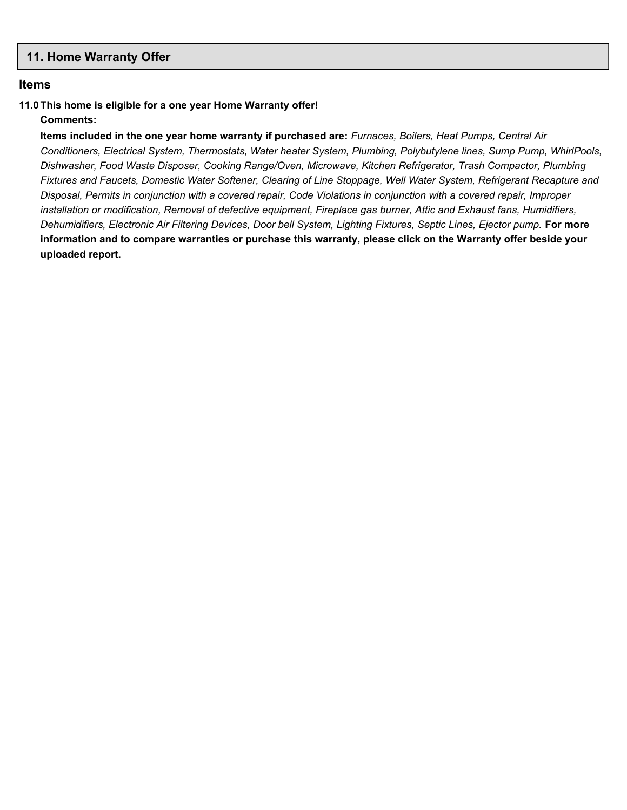## <span id="page-27-0"></span>**11. Home Warranty Offer**

#### **Items**

# **11.0This home is eligible for a one year Home Warranty offer!**

## **Comments:**

**Items included in the one year home warranty if purchased are:** *Furnaces, Boilers, Heat Pumps, Central Air Conditioners, Electrical System, Thermostats, Water heater System, Plumbing, Polybutylene lines, Sump Pump, WhirlPools, Dishwasher, Food Waste Disposer, Cooking Range/Oven, Microwave, Kitchen Refrigerator, Trash Compactor, Plumbing Fixtures and Faucets, Domestic Water Softener, Clearing of Line Stoppage, Well Water System, Refrigerant Recapture and Disposal, Permits in conjunction with a covered repair, Code Violations in conjunction with a covered repair, Improper installation or modification, Removal of defective equipment, Fireplace gas burner, Attic and Exhaust fans, Humidifiers, Dehumidifiers, Electronic Air Filtering Devices, Door bell System, Lighting Fixtures, Septic Lines, Ejector pump.* **For more information and to compare warranties or purchase this warranty, please click on the Warranty offer beside your uploaded report.**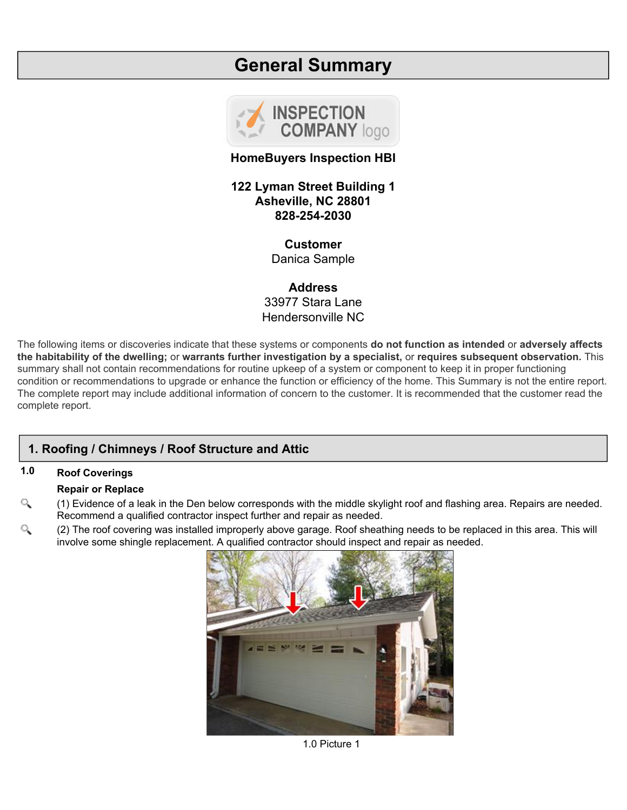# **General Summary**



## **HomeBuyers Inspection HBI**

**122 Lyman Street Building 1 Asheville, NC 28801 828-254-2030**

# **Customer**

Danica Sample

**Address** 33977 Stara Lane Hendersonville NC

The following items or discoveries indicate that these systems or components **do not function as intended** or **adversely affects the habitability of the dwelling;** or **warrants further investigation by a specialist,** or **requires subsequent observation.** This summary shall not contain recommendations for routine upkeep of a system or component to keep it in proper functioning condition or recommendations to upgrade or enhance the function or efficiency of the home. This Summary is not the entire report. The complete report may include additional information of concern to the customer. It is recommended that the customer read the complete report.

# **1. Roofing / Chimneys / Roof Structure and Attic**

# **1.0 Roof Coverings**

#### **Repair or Replace**

- Q (1) Evidence of a leak in the Den below corresponds with the middle skylight roof and flashing area. Repairs are needed. Recommend a qualified contractor inspect further and repair as needed.
- (2) The roof covering was installed improperly above garage. Roof sheathing needs to be replaced in this area. This will Q involve some shingle replacement. A qualified contractor should inspect and repair as needed.



1.0 Picture 1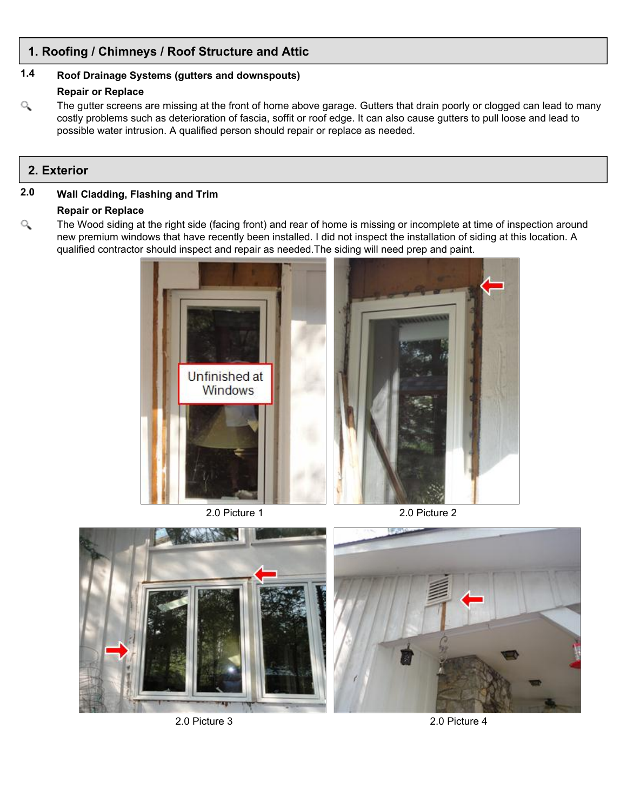# **1. Roofing / Chimneys / Roof Structure and Attic**

# **1.4 Roof Drainage Systems (gutters and downspouts)**

## **Repair or Replace**

 $\alpha$ The gutter screens are missing at the front of home above garage. Gutters that drain poorly or clogged can lead to many costly problems such as deterioration of fascia, soffit or roof edge. It can also cause gutters to pull loose and lead to possible water intrusion. A qualified person should repair or replace as needed.

# **2. Exterior**

# **2.0 Wall Cladding, Flashing and Trim**

#### **Repair or Replace**

Q The Wood siding at the right side (facing front) and rear of home is missing or incomplete at time of inspection around new premium windows that have recently been installed. I did not inspect the installation of siding at this location. A qualified contractor should inspect and repair as needed.The siding will need prep and paint.



2.0 Picture 1 2.0 Picture 2



2.0 Picture 3 2.0 Picture 4

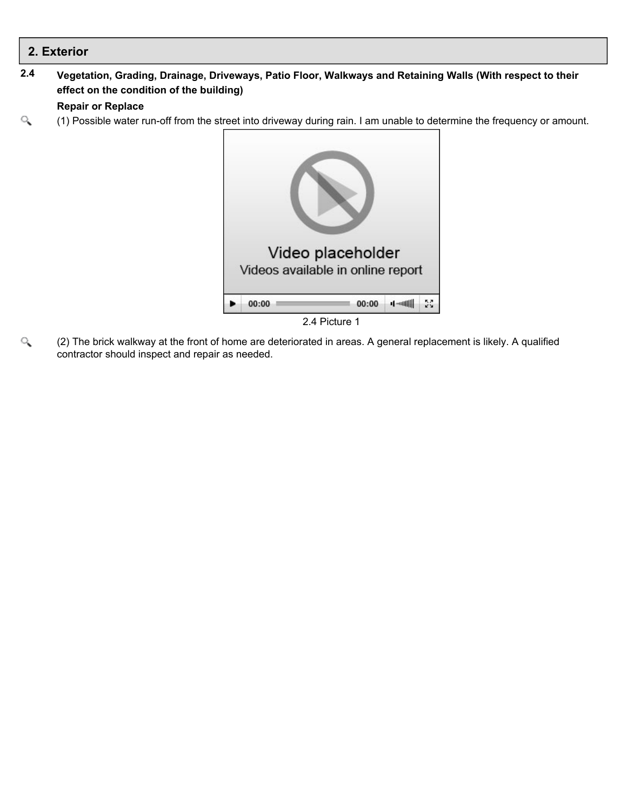**2.4 Vegetation, Grading, Drainage, Driveways, Patio Floor, Walkways and Retaining Walls (With respect to their effect on the condition of the building)**

# **Repair or Replace**

(1) Possible water run-off from the street into driveway during rain. I am unable to determine the frequency or amount. Q



Q (2) The brick walkway at the front of home are deteriorated in areas. A general replacement is likely. A qualified contractor should inspect and repair as needed.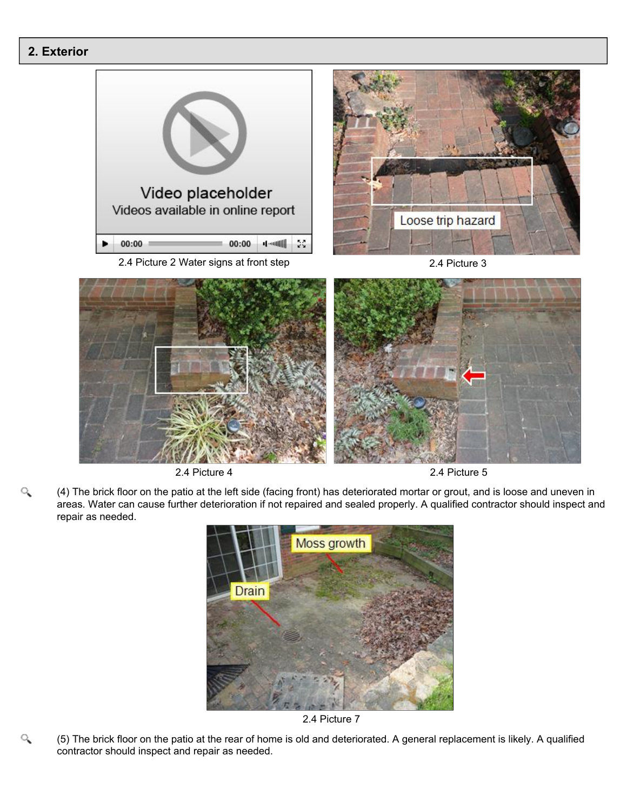Q

Q





2.4 Picture 4 2.4 Picture 5

(4) The brick floor on the patio at the left side (facing front) has deteriorated mortar or grout, and is loose and uneven in areas. Water can cause further deterioration if not repaired and sealed properly. A qualified contractor should inspect and repair as needed.



2.4 Picture 7

(5) The brick floor on the patio at the rear of home is old and deteriorated. A general replacement is likely. A qualified contractor should inspect and repair as needed.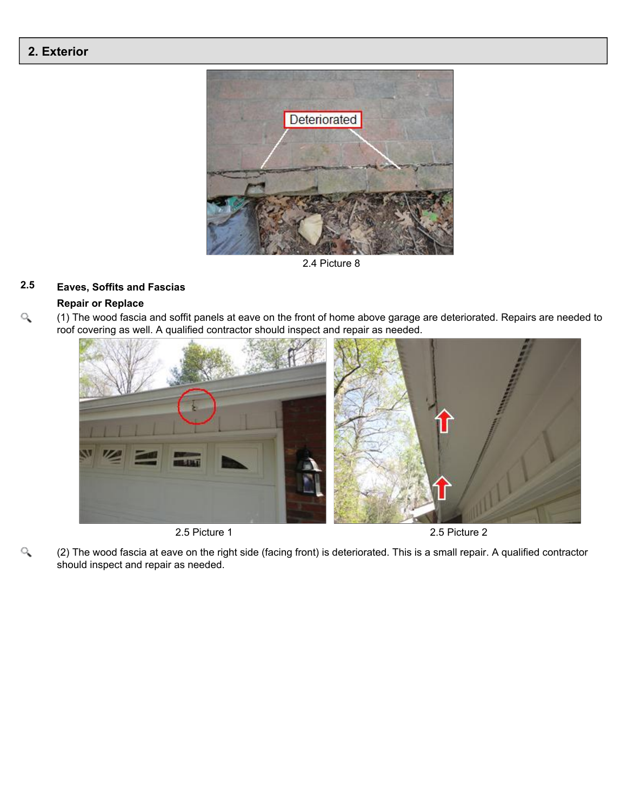

2.4 Picture 8

# **2.5 Eaves, Soffits and Fascias**

#### **Repair or Replace**

Q

 $\alpha$ (1) The wood fascia and soffit panels at eave on the front of home above garage are deteriorated. Repairs are needed to roof covering as well. A qualified contractor should inspect and repair as needed.



2.5 Picture 1 2.5 Picture 2

(2) The wood fascia at eave on the right side (facing front) is deteriorated. This is a small repair. A qualified contractor should inspect and repair as needed.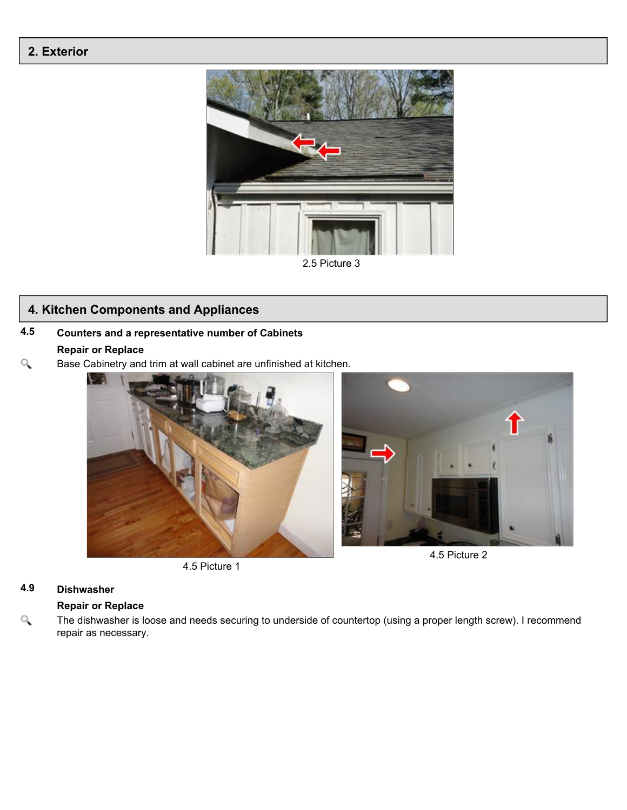

2.5 Picture 3

# **4. Kitchen Components and Appliances**

# **4.5 Counters and a representative number of Cabinets**

# **Repair or Replace**

 $\alpha$ Base Cabinetry and trim at wall cabinet are unfinished at kitchen.



4.5 Picture 1

# **4.9 Dishwasher**

### **Repair or Replace**

 $\alpha$ The dishwasher is loose and needs securing to underside of countertop (using a proper length screw). I recommend repair as necessary.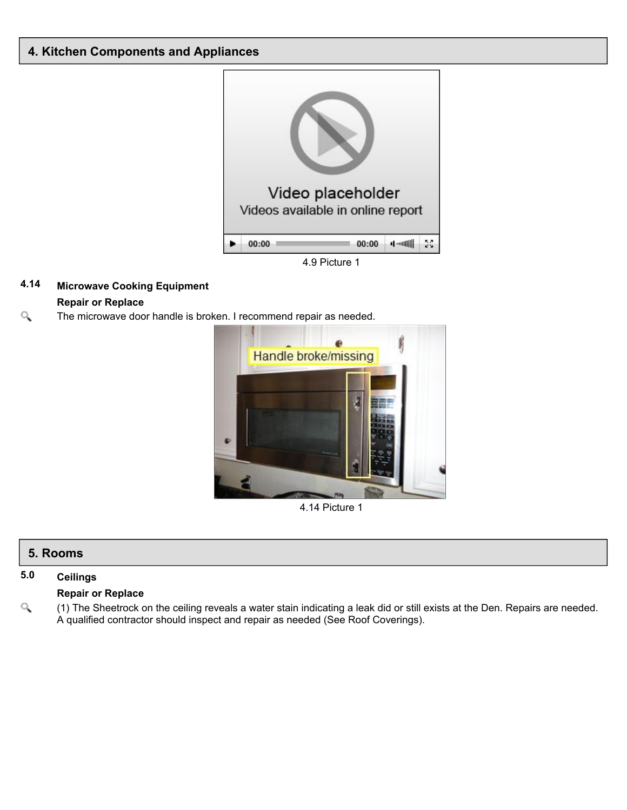# **4. Kitchen Components and Appliances**



# **4.14 Microwave Cooking Equipment**

## **Repair or Replace**

Q The microwave door handle is broken. I recommend repair as needed.



4.14 Picture 1

# **5. Rooms**

## **5.0 Ceilings**

#### **Repair or Replace**

 $\alpha$ (1) The Sheetrock on the ceiling reveals a water stain indicating a leak did or still exists at the Den. Repairs are needed. A qualified contractor should inspect and repair as needed (See Roof Coverings).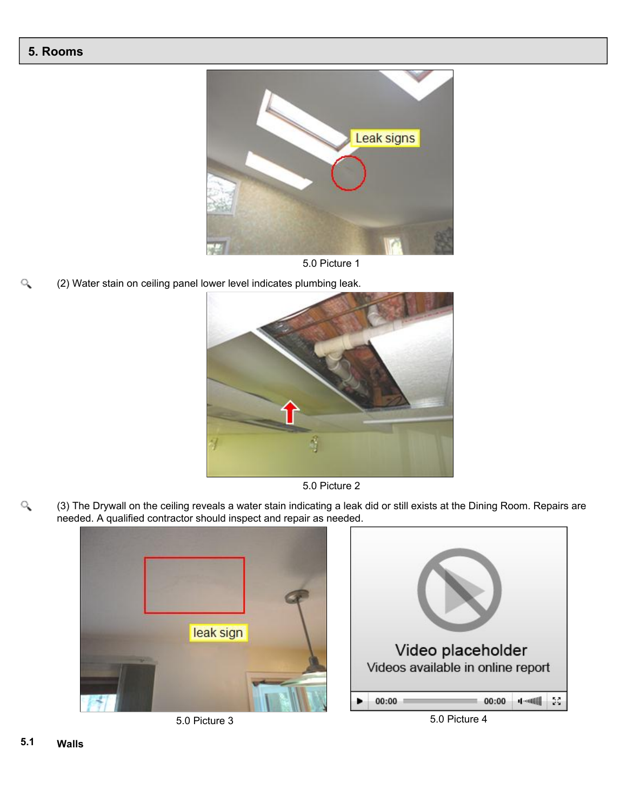

5.0 Picture 1

Q (2) Water stain on ceiling panel lower level indicates plumbing leak.



5.0 Picture 2

 $\alpha$ (3) The Drywall on the ceiling reveals a water stain indicating a leak did or still exists at the Dining Room. Repairs are needed. A qualified contractor should inspect and repair as needed.







5.0 Picture 3 5.0 Picture 4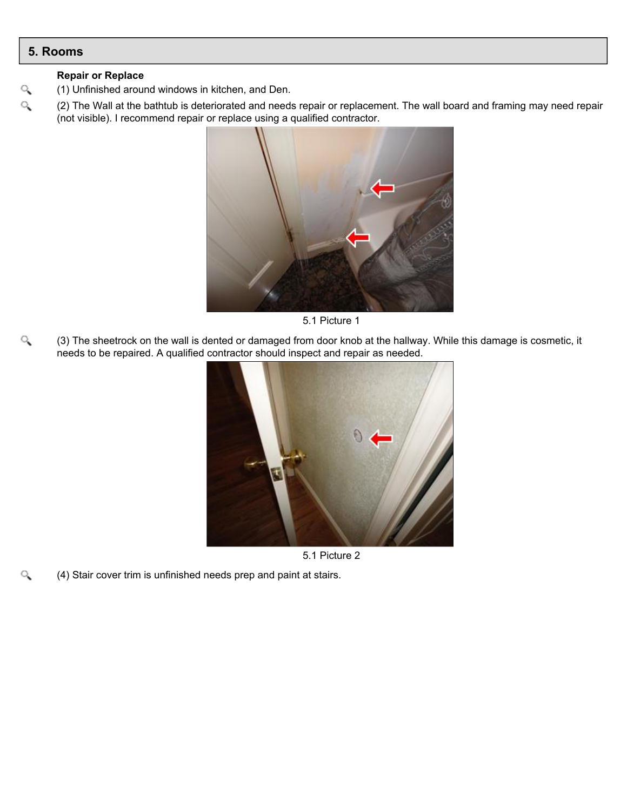$\alpha$ 

Q

#### **Repair or Replace**

- (1) Unfinished around windows in kitchen, and Den.
- Q (2) The Wall at the bathtub is deteriorated and needs repair or replacement. The wall board and framing may need repair (not visible). I recommend repair or replace using a qualified contractor.



5.1 Picture 1

Q (3) The sheetrock on the wall is dented or damaged from door knob at the hallway. While this damage is cosmetic, it needs to be repaired. A qualified contractor should inspect and repair as needed.



5.1 Picture 2

(4) Stair cover trim is unfinished needs prep and paint at stairs.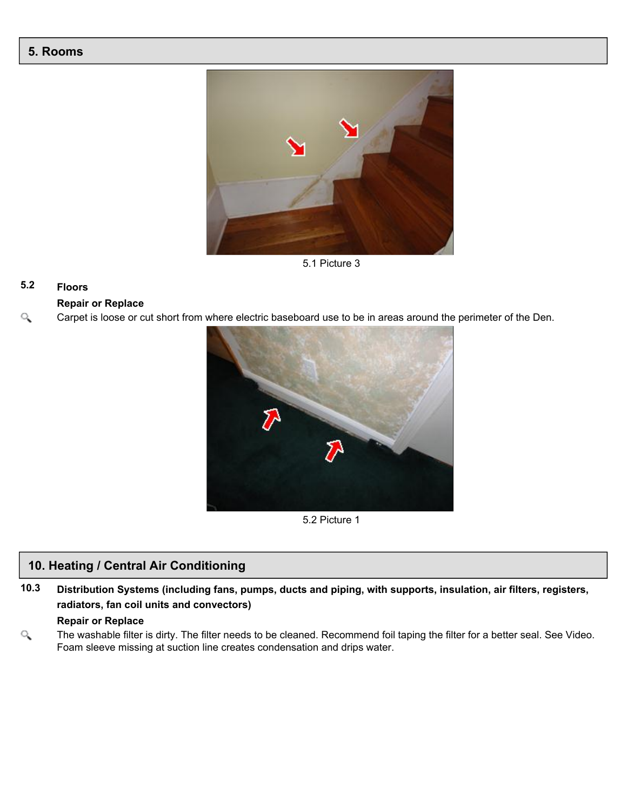

5.1 Picture 3

# **5.2 Floors**

## **Repair or Replace**

Q Carpet is loose or cut short from where electric baseboard use to be in areas around the perimeter of the Den.



5.2 Picture 1

# **10. Heating / Central Air Conditioning**

**10.3 Distribution Systems (including fans, pumps, ducts and piping, with supports, insulation, air filters, registers, radiators, fan coil units and convectors)**

#### **Repair or Replace**

 $\alpha$ The washable filter is dirty. The filter needs to be cleaned. Recommend foil taping the filter for a better seal. See Video. Foam sleeve missing at suction line creates condensation and drips water.